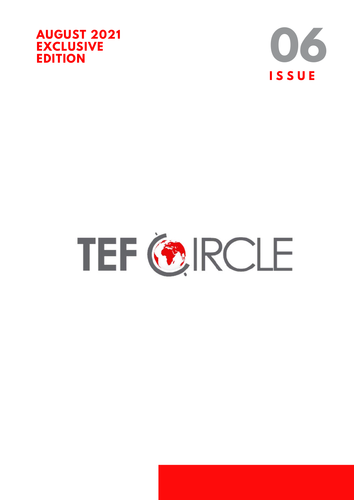



# TEF GROLE

**AFRICA + ENTREPRENEUR**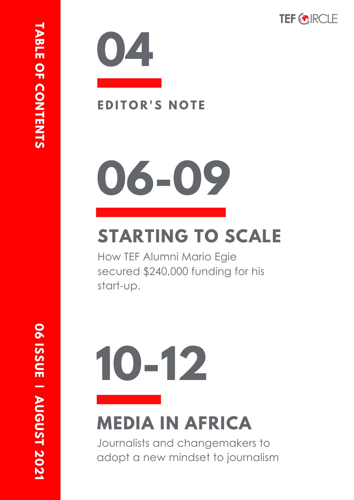



### $E$  **DITOR'S NOTE**

# **06-09**

# **STARTING TO SCALE**

How TEF Alumni Mario Egie secured \$240,000 funding for his start-up.

# **10-12 MEDIA IN AFRICA**

Journalists and changemakers to adopt a new mindset to journalism

**1**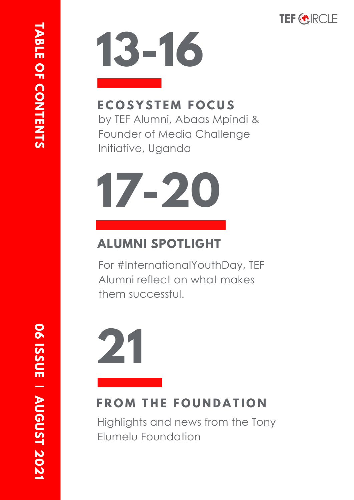

# **13-16**

#### **E C O S Y S T E M F O C U S**

by TEF Alumni, Abaas Mpindi & Founder of Media Challenge Initiative, Uganda



### **ALUMNI SPOTLIGHT**

For #InternationalYouthDay, TEF Alumni reflect on what makes them successful.

# **21**

### **FROM THE FOUNDATION**

Highlights and news from the Tony Elumelu Foundation

**1**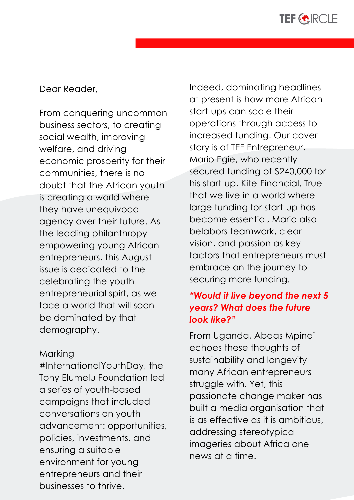

Dear Reader,

From conquering uncommon business sectors, to creating social wealth, improving welfare, and driving economic prosperity for their communities, there is no doubt that the African youth is creating a world where they have unequivocal agency over their future. As the leading philanthropy empowering young African entrepreneurs, this August issue is dedicated to the celebrating the youth entrepreneurial spirt, as we face a world that will soon be dominated by that demography.

#### Marking

Marking<br>#InternationalYouthDay,<br>Tary Flurealy Fauralation #InternationalYouthDay, the Tony Elumelu Foundation led a series of youth-based campaigns that included conversations on youth advancement: opportunities, policies, investments, and ensuring a suitable environment for young entrepreneurs and their businesses to thrive.

Indeed, dominating headlines at present is how more African start-ups can scale their operations through access to increased funding. Our cover story is of TEF Entrepreneur, Mario Egie, who recently secured funding of \$240,000 for his start-up, Kite-Financial. True that we live in a world where large funding for start-up has become essential, Mario also belabors teamwork, clear vision, and passion as key factors that entrepreneurs must embrace on the journey to securing more funding.

#### *"Would it live beyond the next 5 years? What does the future look like?"*

From Uganda, Abaas Mpindi echoes these thoughts of sustainability and longevity many African entrepreneurs struggle with. Yet, this passionate change maker has built a media organisation that is as effective as it is ambitious, addressing stereotypical imageries about Africa one news at a time.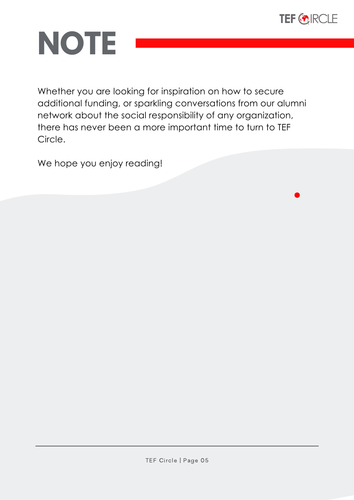

# **NOTE**

Whether you are looking for inspiration on how to secure additional funding, or sparkling conversations from our alumni network about the social responsibility of any organization, there has never been a more important time to turn to TEF Circle.

We hope you enjoy reading!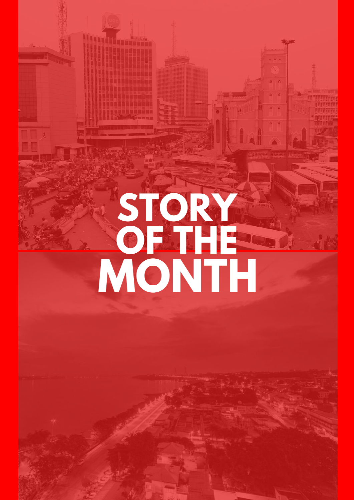# STORY REPORT **MONTH OF THE**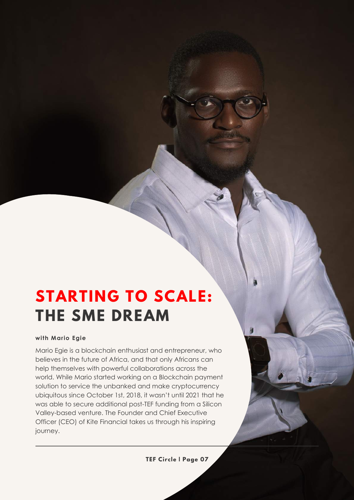### **STARTING TO SCALE: THE SME DREAM**

#### **with Mario Egie**

Mario Egie is a blockchain enthusiast and entrepreneur, who believes in the future of Africa, and that only Africans can help themselves with powerful collaborations across the world. While Mario started working on a Blockchain payment solution to service the unbanked and make cryptocurrency ubiquitous since October 1st, 2018, it wasn't until 2021 that he was able to secure additional post-TEF funding from a Silicon Valley-based venture. The Founder and Chief Executive Officer (CEO) of Kite Financial takes us through his inspiring journey.

**TEF Circle | Page 07**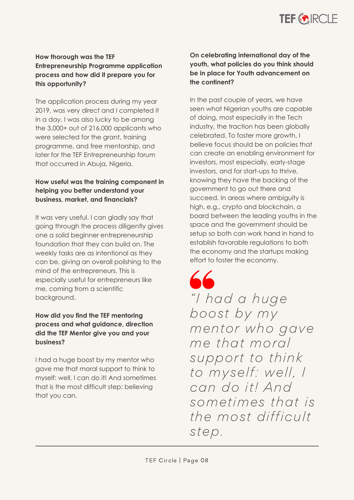

#### **How thorough was the TEF Entrepreneurship Programme application process and how did it prepare you for this opportunity?**

The application process during my year 2019, was very direct and I completed it in a day. I was also lucky to be among the 3,000+ out of 216,000 applicants who were selected for the grant, training programme, and free mentorship, and later for the TEF Entrepreneurship forum that occurred in Abuja, Nigeria.

#### **How useful was the training component in helping you better understand your business, market, and financials?**

It was very useful. I can gladly say that going through the process diligently gives one a solid beginner entrepreneurship foundation that they can build on. The weekly tasks are as intentional as they can be, giving an overall polishing to the mind of the entrepreneurs. This is especially useful for entrepreneurs like me, coming from a scientific background.

#### **How did you find the TEF mentoring process and what guidance, direction did the TEF Mentor give you and your business?**

I had a huge boost by my mentor who gave me that moral support to think to myself: well, I can do it! And sometimes that is the most difficult step: believing that you can.

#### **On celebrating international day of the youth, what policies do you think should be in place for Youth advancement on the continent?**

In the past couple of years, we have seen what Nigerian youths are capable of doing, most especially in the Tech industry, the traction has been globally celebrated. To foster more growth, I believe focus should be on policies that can create an enabling environment for investors, most especially, early-stage investors, and for start-ups to thrive, knowing they have the backing of the government to go out there and succeed. In areas where ambiguity is high, e.g., crypto and blockchain, a board between the leading youths in the space and the government should be setup so both can work hand in hand to establish favorable regulations to both the economy and the startups making effort to foster the economy.

 $\overline{\mathcal{L}}$ "I had a huge boost by my mentor who gave me that moral support to think to myself: well, I can do it! And sometimes that is the most difficult step.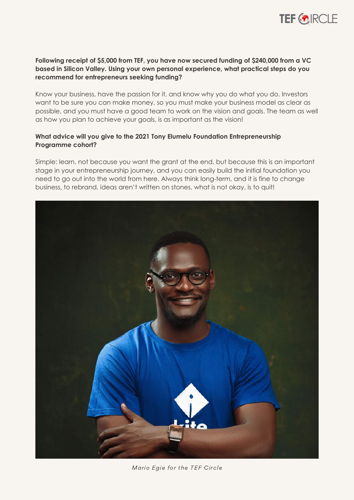

#### **Following receipt of \$5,000 from TEF, you have now secured funding of \$240,000 from a VC based in Silicon Valley. Using your own personal experience, what practical steps do you recommend for entrepreneurs seeking funding?**

Know your business, have the passion for it, and know why you do what you do. Investors want to be sure you can make money, so you must make your business model as clear as possible, and you must have a good team to work on the vision and goals. The team as well as how you plan to achieve your goals, is as important as the vision!

#### **What advice will you give to the 2021 Tony Elumelu Foundation Entrepreneurship Programme cohort?**

Simple: learn, not because you want the grant at the end, but because this is an important stage in your entrepreneurship journey, and you can easily build the initial foundation you need to go out into the world from here. Always think long-term, and it is fine to change business, to rebrand, ideas aren't written on stones, what is not okay, is to quit!



Mario Egie for the TEF Circle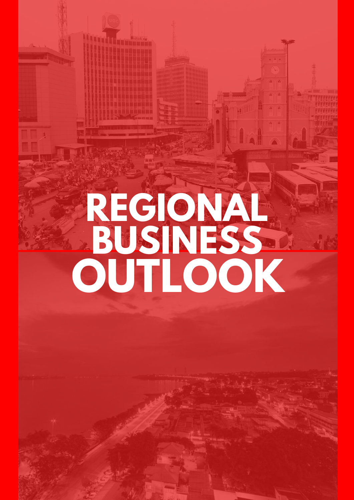# **REGIONAL OUTLOOK BUSINESS**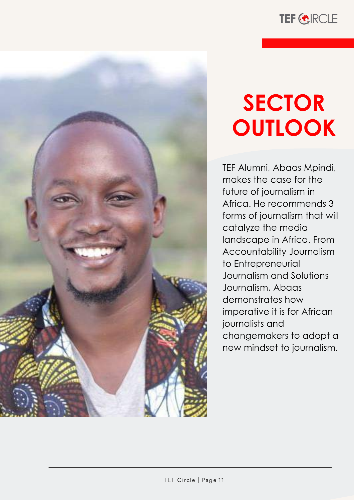



# **SECTOR OUTLOOK**

TEF Alumni, Abaas Mpindi, makes the case for the future of journalism in Africa. He recommends 3 forms of journalism that will catalyze the media landscape in Africa. From Accountability Journalism to Entrepreneurial Journalism and Solutions Journalism, Abaas demonstrates how imperative it is for African journalists and changemakers to adopt a new mindset to journalism.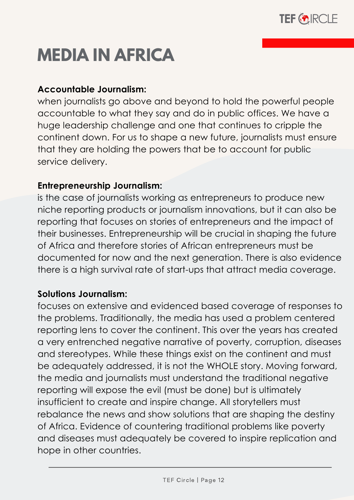

## **MEDIA IN AFRICA**

#### **Accountable Journalism:**

when journalists go above and beyond to hold the powerful people accountable to what they say and do in public offices. We have a huge leadership challenge and one that continues to cripple the continent down. For us to shape a new future, journalists must ensure that they are holding the powers that be to account for public service delivery.

#### **Entrepreneurship Journalism:**

is the case of journalists working as entrepreneurs to produce new niche reporting products or journalism innovations, but it can also be reporting that focuses on stories of entrepreneurs and the impact of their businesses. Entrepreneurship will be crucial in shaping the future of Africa and therefore stories of African entrepreneurs must be documented for now and the next generation. There is also evidence there is a high survival rate of start-ups that attract media coverage.

#### **Solutions Journalism:**

focuses on extensive and evidenced based coverage of responses to the problems. Traditionally, the media has used a problem centered reporting lens to cover the continent. This over the years has created a very entrenched negative narrative of poverty, corruption, diseases and stereotypes. While these things exist on the continent and must be adequately addressed, it is not the WHOLE story. Moving forward, the media and journalists must understand the traditional negative reporting will expose the evil (must be done) but is ultimately insufficient to create and inspire change. All storytellers must rebalance the news and show solutions that are shaping the destiny of Africa. Evidence of countering traditional problems like poverty and diseases must adequately be covered to inspire replication and hope in other countries.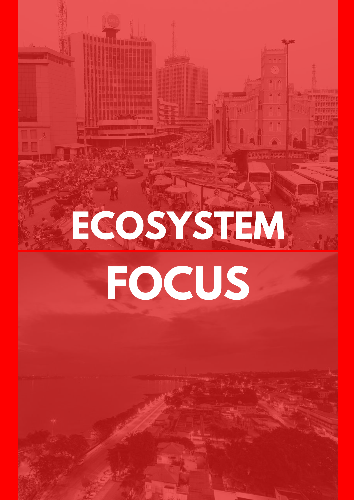# **ECOSYSTEM FOCUS**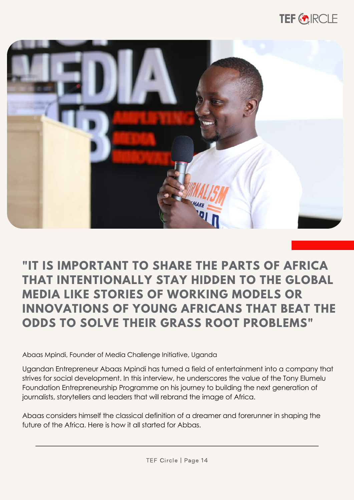



#### **"IT IS IMPORTANT TO SHARE THE PARTS OF AFRICA THAT INTENTIONALLY STAY HIDDEN TO THE GLOBAL MEDIA LIKE STORIES OF WORKING MODELS OR INNOVATIONS OF YOUNG AFRICANS THAT BEAT THE ODDS TO SOLVE THEIR GRASS ROOT PROBLEMS"**

Abaas Mpindi, Founder of Media Challenge Initiative, Uganda

Ugandan Entrepreneur Abaas Mpindi has turned a field of entertainment into a company that strives for social development. In this interview, he underscores the value of the Tony Elumelu Foundation Entrepreneurship Programme on his journey to building the next generation of journalists, storytellers and leaders that will rebrand the image of Africa.

Abaas considers himself the classical definition of a dreamer and forerunner in shaping the future of the Africa. Here is how it all started for Abbas.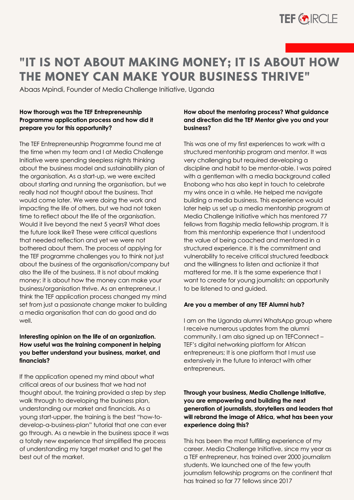

#### **"IT IS NOT ABOUT MAKING MONEY; IT IS ABOUT HOW THE MONEY CAN MAKE YOUR BUSINESS THRIVE"**

Abaas Mpindi, Founder of Media Challenge Initiative, Uganda

#### **How thorough was the TEF Entrepreneurship Programme application process and how did it prepare you for this opportunity?**

The TEF Entrepreneurship Programme found me at the time when my team and I at Media Challenge Initiative were spending sleepless nights thinking about the business model and sustainability plan of the organisation. As a start-up, we were excited about starting and running the organisation, but we really had not thought about the business. That would come later. We were doing the work and impacting the life of others, but we had not taken time to reflect about the life of the organisation. Would it live beyond the next 5 years? What does the future look like? These were critical questions that needed reflection and yet we were not bothered about them. The process of applying for the TEF programme challenges you to think not just about the business of the organisation/company but also the life of the business. It is not about making money; it is about how the money can make your business/organisation thrive. As an entrepreneur, I think the TEF application process changed my mind set from just a passionate change maker to building a media organisation that can do good and do well.

#### **Interesting opinion on the life of an organization. How useful was the training component in helping you better understand your business, market, and financials?**

If the application opened my mind about what critical areas of our business that we had not thought about, the training provided a step by step walk through to developing the business plan, understanding our market and financials. As a young start-upper, the training is the best "how-todevelop-a-business-plan" tutorial that one can ever go through. As a newbie in the business space it was a totally new experience that simplified the process of understanding my target market and to get the best out of the market.

#### **How about the mentoring process? What guidance and direction did the TEF Mentor give you and your business?**

This was one of my first experiences to work with a structured mentorship program and mentor. It was very challenging but required developing a discipline and habit to be mentor-able. I was paired with a gentleman with a media background called Enobong who has also kept in touch to celebrate my wins once in a while. He helped me navigate building a media business. This experience would later help us set up a media mentorship program at Media Challenge Initiative which has mentored 77 fellows from flagship media fellowship program. It is from this mentorship experience that I understood the value of being coached and mentored in a structured experience. It is the commitment and vulnerability to receive critical structured feedback and the willingness to listen and actionize it that mattered for me. It is the same experience that I want to create for young journalists; an opportunity to be listened to and guided.

#### **Are you a member of any TEF Alumni hub?**

I am on the Uganda alumni WhatsApp group where I receive numerous updates from the alumni community. I am also signed up on TEFConnect – TEF's digital networking platform for African entrepreneurs; It is one platform that I must use extensively in the future to interact with other entrepreneurs.

#### **Through your business, Media Challenge Initiative, you are empowering and building the next generation of journalists, storytellers and leaders that will rebrand the image of Africa, what has been your experience doing this?**

This has been the most fulfilling experience of my career. Media Challenge Initiative, since my year as a TEF entrepreneur, has trained over 2000 journalism students. We launched one of the few youth journalism fellowship programs on the continent that has trained so far 77 fellows since 2017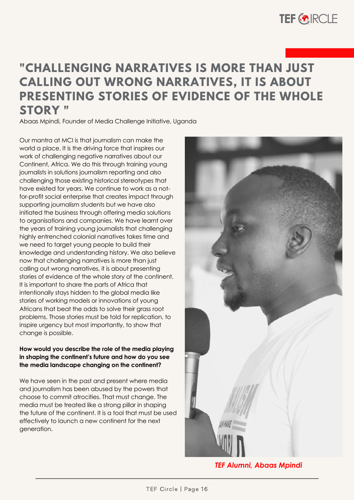

#### **"CHALLENGING NARRATIVES IS MORE THAN JUST CALLING OUT WRONG NARRATIVES, IT IS ABOUT PRESENTING STORIES OF EVIDENCE OF THE WHOLE STORY "**

Abaas Mpindi, Founder of Media Challenge Initiative, Uganda

Our mantra at MCI is that journalism can make the world a place. It is the driving force that inspires our work of challenging negative narratives about our Continent, Africa. We do this through training young journalists in solutions journalism reporting and also challenging those existing historical stereotypes that have existed for years. We continue to work as a notfor-profit social enterprise that creates impact through supporting journalism students but we have also initiated the business through offering media solutions to organisations and companies. We have learnt over the years of training young journalists that challenging highly entrenched colonial narratives takes time and we need to target young people to build their knowledge and understanding history. We also believe now that challenging narratives is more than just calling out wrong narratives, it is about presenting stories of evidence of the whole story of the continent. It is important to share the parts of Africa that intentionally stays hidden to the global media like stories of working models or innovations of young Africans that beat the odds to solve their grass root problems. Those stories must be told for replication, to inspire urgency but most importantly, to show that change is possible.

#### **How would you describe the role of the media playing in shaping the continent's future and how do you see the media landscape changing on the continent?**

We have seen in the past and present where media and journalism has been abused by the powers that choose to commit atrocities. That must change. The media must be treated like a strong pillar in shaping the future of the continent. It is a tool that must be used effectively to launch a new continent for the next generation.



*TEF Alumni, Abaas Mpindi*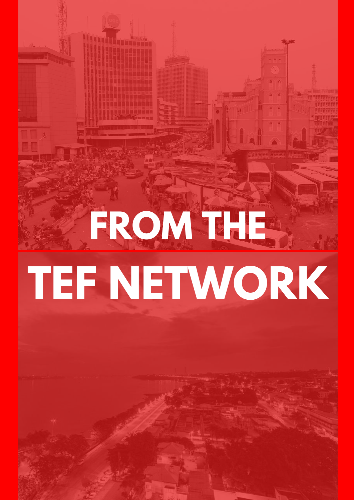# **FROM THE TEF NETWORK**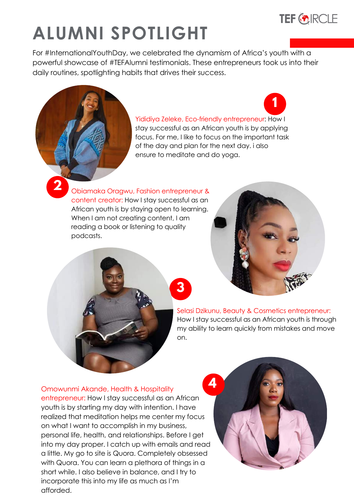

# **ALUMNI SPOTLIGHT**

For #InternationalYouthDay, we celebrated the dynamism of Africa's youth with a powerful showcase of #TEFAlumni testimonials. These entrepreneurs took us into their daily routines, spotlighting habits that drives their success.

**3**

#### Yididiya Zeleke, Eco-friendly entrepreneur: How I

stay successful as an African youth is by applying focus. For me, I like to focus on the important task of the day and plan for the next day. i also ensure to meditate and do yoga.

Obiamaka Oragwu, Fashion entrepreneur & content creator: How I stay successful as an African youth is by staying open to learning. When I am not creating content, I am reading a book or listening to quality podcasts.

**2**



**1**

Selasi Dzikunu, Beauty & Cosmetics entrepreneur: How I stay successful as an African youth is through my ability to learn quickly from mistakes and move on.

#### Omowunmi Akande, Health & Hospitality

entrepreneur: How I stay successful as an African youth is by starting my day with intention. I have realized that meditation helps me center my focus on what I want to accomplish in my business, personal life, health, and relationships. Before I get into my day proper. I catch up with emails and read a little. My go to site is Quora. Completely obsessed with Quora. You can learn a plethora of things in a short while. I also believe in balance, and I try to incorporate this into my life as much as I'm afforded.

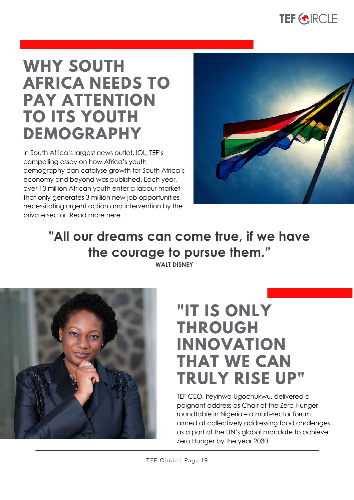

### **WHY SOUTH AFRICA NEEDS TO PAY ATTENTION TO ITS YOUTH DEMOGRAPHY**

In South Africa's largest news outlet, IOL, TEF's compelling essay on how Africa's youth demography can catalyse growth for South Africa's economy and beyond was published. Each year, over 10 million African youth enter a labour market that only generates 3 million new job opportunities, necessitating urgent action and intervention by the private sector. Read more [here.](https://www.iol.co.za/business-report/opinion/why-south-africa-needs-to-pay-attention-to-its-youth-demography-0f1d4c4e-b428-52c0-88ba-ecfb7a7618c0)



### **"All our dreams can come true, if we have the courage to pursue them."**

**WALT DISNEY**



### **"IT IS ONLY THROUGH INNOVATION THAT WE CAN TRULY RISE UP"**

TEF CEO, Ifeyinwa Ugochukwu, delivered a poignant address as Chair of the Zero Hunger roundtable in Nigeria – a multi-sector forum aimed at collectively addressing food challenges as a part of the UN's global mandate to achieve Zero Hunger by the year 2030.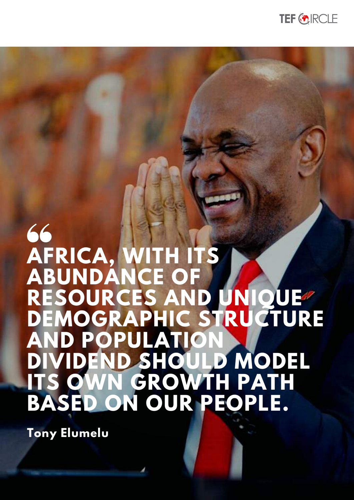

# 66 **AFRICA, WITH ITS ABUNDANCE**<br>RESOURCES **RESOURCES AND UNIQUE DEMOGRAPHIC STRUCTURE AND POPULATION DIVIDEND SHOULD MODEL IN GROWTH BASED ON OUR PEOPLE.**

**Tony Elumelu**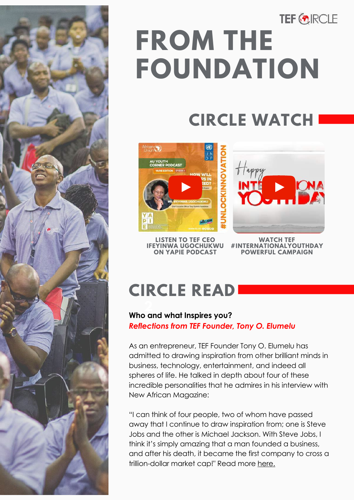

# **TEF ORCLE FROM THE FOUNDATION**

## **CIRCLE WATCH**



**LISTEN TO TEF CEO IFEYINWA [UGOCHUKWU](https://youtu.be/-R2Bgw8Ihmo) [ON](https://youtu.be/-R2Bgw8Ihmo) YAPIE PODCAST**

**WATCH TEF #INTERNATIONALYOUTHDAY POWERFUL CAMPAIGN**

## **CIRCLE READ**

#### **2 Who and what Inspires you?** *Reflections from TEF Founder, Tony O. Elumelu*

As an entrepreneur, TEF Founder Tony O. Elumelu has admitted to drawing inspiration from other brilliant minds in business, technology, entertainment, and indeed all spheres of life. He talked in depth about four of these incredible personalities that he admires in his interview with New African Magazine:

"I can think of four people, two of whom have passed away that I continue to draw inspiration from; one is Steve Jobs and the other is Michael Jackson. With Steve Jobs, I think it's simply amazing that a man founded a business, and after his death, it became the first company to cross a trillion-dollar market cap!" Read more [here.](https://tonyelumelu.com/2021/08/19/who-and-what-inspires-you/)